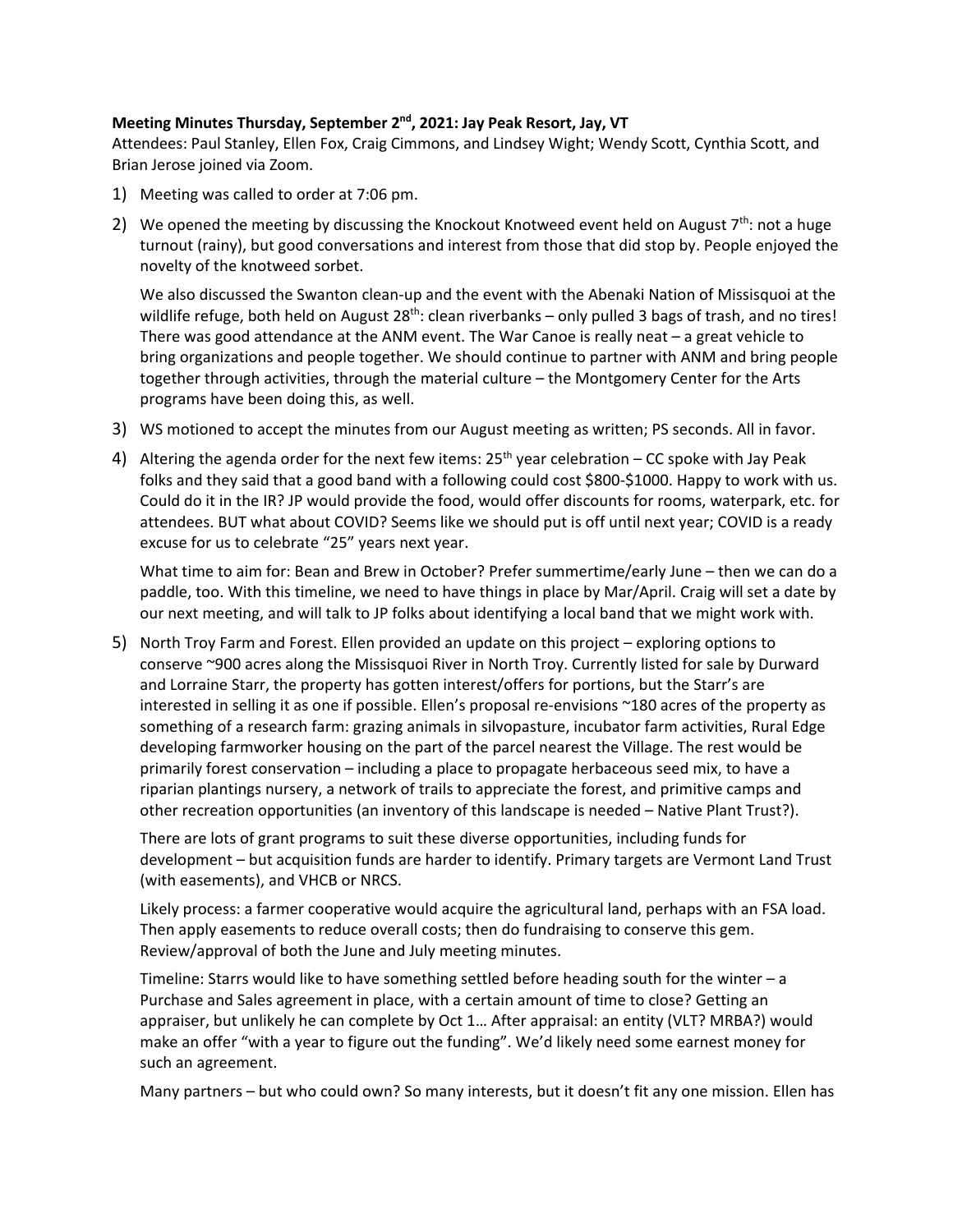## **Meeting Minutes Thursday, September 2nd, 2021: Jay Peak Resort, Jay, VT**

Attendees: Paul Stanley, Ellen Fox, Craig Cimmons, and Lindsey Wight; Wendy Scott, Cynthia Scott, and Brian Jerose joined via Zoom.

- 1) Meeting was called to order at 7:06 pm.
- 2) We opened the meeting by discussing the Knockout Knotweed event held on August  $7<sup>th</sup>$ : not a huge turnout (rainy), but good conversations and interest from those that did stop by. People enjoyed the novelty of the knotweed sorbet.

We also discussed the Swanton clean-up and the event with the Abenaki Nation of Missisquoi at the wildlife refuge, both held on August  $28^{th}$ : clean riverbanks – only pulled 3 bags of trash, and no tires! There was good attendance at the ANM event. The War Canoe is really neat – a great vehicle to bring organizations and people together. We should continue to partner with ANM and bring people together through activities, through the material culture – the Montgomery Center for the Arts programs have been doing this, as well.

- 3) WS motioned to accept the minutes from our August meeting as written; PS seconds. All in favor.
- 4) Altering the agenda order for the next few items:  $25<sup>th</sup>$  year celebration CC spoke with Jay Peak folks and they said that a good band with a following could cost \$800-\$1000. Happy to work with us. Could do it in the IR? JP would provide the food, would offer discounts for rooms, waterpark, etc. for attendees. BUT what about COVID? Seems like we should put is off until next year; COVID is a ready excuse for us to celebrate "25" years next year.

What time to aim for: Bean and Brew in October? Prefer summertime/early June – then we can do a paddle, too. With this timeline, we need to have things in place by Mar/April. Craig will set a date by our next meeting, and will talk to JP folks about identifying a local band that we might work with.

5) North Troy Farm and Forest. Ellen provided an update on this project – exploring options to conserve ~900 acres along the Missisquoi River in North Troy. Currently listed for sale by Durward and Lorraine Starr, the property has gotten interest/offers for portions, but the Starr's are interested in selling it as one if possible. Ellen's proposal re-envisions ~180 acres of the property as something of a research farm: grazing animals in silvopasture, incubator farm activities, Rural Edge developing farmworker housing on the part of the parcel nearest the Village. The rest would be primarily forest conservation – including a place to propagate herbaceous seed mix, to have a riparian plantings nursery, a network of trails to appreciate the forest, and primitive camps and other recreation opportunities (an inventory of this landscape is needed – Native Plant Trust?).

There are lots of grant programs to suit these diverse opportunities, including funds for development – but acquisition funds are harder to identify. Primary targets are Vermont Land Trust (with easements), and VHCB or NRCS.

Likely process: a farmer cooperative would acquire the agricultural land, perhaps with an FSA load. Then apply easements to reduce overall costs; then do fundraising to conserve this gem. Review/approval of both the June and July meeting minutes.

Timeline: Starrs would like to have something settled before heading south for the winter – a Purchase and Sales agreement in place, with a certain amount of time to close? Getting an appraiser, but unlikely he can complete by Oct 1… After appraisal: an entity (VLT? MRBA?) would make an offer "with a year to figure out the funding". We'd likely need some earnest money for such an agreement.

Many partners – but who could own? So many interests, but it doesn't fit any one mission. Ellen has